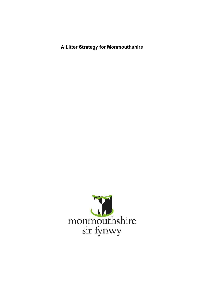**A Litter Strategy for Monmouthshire**

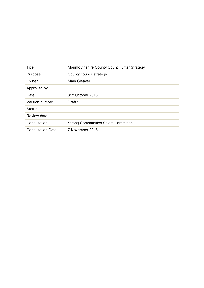| Title                    | Monmouthshire County Council Litter Strategy |
|--------------------------|----------------------------------------------|
| Purpose                  | County council strategy                      |
| Owner                    | <b>Mark Cleaver</b>                          |
| Approved by              |                                              |
| Date                     | 31 <sup>st</sup> October 2018                |
| Version number           | Draft 1                                      |
| <b>Status</b>            |                                              |
| Review date              |                                              |
| Consultation             | <b>Strong Communities Select Committee</b>   |
| <b>Consultation Date</b> | 7 November 2018                              |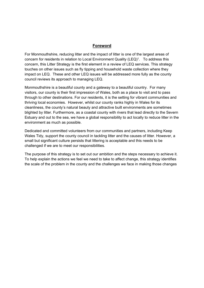#### **Foreword**

For Monmouthshire, reducing litter and the impact of litter is one of the largest areas of concern for residents in relation to Local Environment Quality (LEQ)<sup>1</sup>. To address this concern, this Litter Strategy is the first element in a review of LEQ services. This strategy touches on other issues such as fly tipping and household waste collection where they impact on LEQ. These and other LEQ issues will be addressed more fully as the county council reviews its approach to managing LEQ.

Monmouthshire is a beautiful county and a gateway to a beautiful country. For many visitors, our county is their first impression of Wales, both as a place to visit and to pass through to other destinations. For our residents, it is the setting for vibrant communities and thriving local economies. However, whilst our county ranks highly in Wales for its cleanliness, the county's natural beauty and attractive built environments are sometimes blighted by litter. Furthermore, as a coastal county with rivers that lead directly to the Severn Estuary and out to the sea, we have a global responsibility to act locally to reduce litter in the environment as much as possible.

Dedicated and committed volunteers from our communities and partners, including Keep Wales Tidy, support the county council in tackling litter and the causes of litter. However, a small but significant culture persists that littering is acceptable and this needs to be challenged if we are to meet our responsibilities.

The purpose of this strategy is to set out our ambition and the steps necessary to achieve it. To help explain the actions we feel we need to take to affect change, this strategy identifies the scale of the problem in the county and the challenges we face in making those changes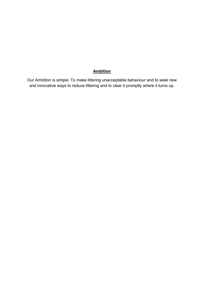# **Ambition**

Our Ambition is simple: To make littering unacceptable behaviour and to seek new and innovative ways to reduce littering and to clear it promptly where it turns up.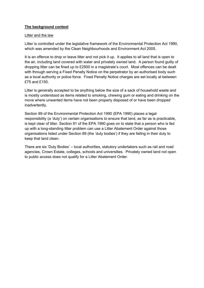#### **The background context**

#### Litter and the law

Litter is controlled under the legislative framework of the Environmental Protection Act 1990, which was amended by the Clean Neighbourhoods and Environment Act 2005.

It is an offence to drop or leave litter and not pick it up. It applies to all land that is open to the air, including land covered with water and privately owned land. A person found guilty of dropping litter can be fined up to £2500 in a magistrate's court. Most offences can be dealt with through serving a Fixed Penalty Notice on the perpetrator by an authorised body such as a local authority or police force. Fixed Penalty Notice charges are set locally at between £75 and £150.

Litter is generally accepted to be anything below the size of a sack of household waste and is mostly understood as items related to smoking, chewing gum or eating and drinking on the move where unwanted items have not been properly disposed of or have been dropped inadvertently.

Section 89 of the Environmental Protection Act 1990 (EPA 1990) places a legal responsibility (a 'duty') on certain organisations to ensure that land, as far as is practicable, is kept clear of litter. Section 91 of the EPA 1990 goes on to state that a person who is fed up with a long-standing litter problem can use a Litter Abatement Order against those organisations listed under Section 89 (the 'duty bodies') if they are failing in their duty to keep that land clean.

There are six 'Duty Bodies' – local authorities, statutory undertakers such as rail and road agencies, Crown Estate, colleges, schools and universities. Privately owned land not open to public access does not qualify for a Litter Abatement Order.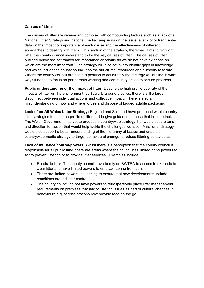#### **Causes of Litter**

The causes of litter are diverse and complex with compounding factors such as a lack of a National Litter Strategy and national media campaigns on the issue, a lack of or fragmented data on the impact or importance of each cause and the effectiveness of different approaches to dealing with them. This section of the strategy, therefore, aims to highlight what the county council understand to be the key causes of litter. The causes of litter outlined below are not ranked for importance or priority as we do not have evidence on which are the most important. The strategy will also set out to identify gaps in knowledge and which issues the county council has the structures, resources and authority to tackle. Where the county council are not in a position to act directly the strategy will outline in what ways it needs to focus on partnership working and community action to secure progress.

**Public understanding of the impact of litter:** Despite the high profile publicity of the impacts of litter on the environment, particularly around plastics, there is still a large disconnect between individual actions and collective impact. There is also a misunderstanding of how and where to use and dispose of biodegradable packaging.

**Lack of an All Wales Litter Strategy:** England and Scotland have produced whole country litter strategies to raise the profile of litter and to give guidance to those that hope to tackle it. The Welsh Government has yet to produce a countrywide strategy that would set the tone and direction for action that would help tackle the challenges we face. A national strategy would also support a better understanding of the hierarchy of issues and enable a countrywide media strategy to target behavioural change to reduce littering behaviours.

**Lack of influence/control/powers:** Whilst there is a perception that the county council is responsible for all public land, there are areas where the council has limited or no powers to act to prevent littering or to provide litter services. Examples include:

- Roadside litter: The county council have to rely on SWTRA to access trunk roads to clear litter and have limited powers to enforce littering from cars.
- There are limited powers in planning to ensure that new developments include conditions around litter control.
- The county council do not have powers to retrospectively place litter management requirements on premises that add to littering issues as part of cultural changes in behaviours e.g. service stations now provide food on the go.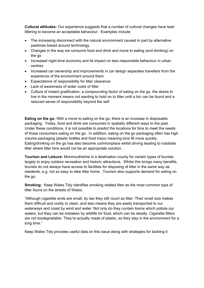**Cultural attitudes:** Our experience suggests that a number of cultural changes have lead littering to become an acceptable behaviour. Examples include:

- The increasing disconnect with the natural environment caused in part by alternative pastimes based around technology
- Changes in the way we consume food and drink and move to eating (and drinking) on the go
- Increased night-time economy and its impact on less responsible behaviour in urban centres
- Increased car ownership and improvements in car design separates travellers from the experience of the environment around them
- Expectations of responsibility for litter clearance
- Lack of awareness of wider costs of litter
- Culture of instant gratification, a compounding factor of eating on the go, the desire to live in the moment means not wanting to hold on to litter until a bin can be found and a reduced sense of responsibility beyond the self.

**Eating on the go:** With a move to eating on the go, there is an increase in disposable packaging. Today, food and drink are consumed in spatially different ways to the past. Under these conditions, it is not possible to predict the locations for bins to meet the needs of those consumers eating on the go. In addition, eating on the go packaging often has high volume packaging (plastic bottles and food trays) meaning bins fill more quickly. Eating/drinking on the go has also become commonplace whilst driving leading to roadside litter where litter bins would not be an appropriate solution.

**Tourism and Leisure:** Monmouthshire is a destination county for certain types of tourists largely to enjoy outdoor recreation and historic attractions. Whilst this brings many benefits, tourists do not always have access to facilities for disposing of litter in the same way as residents, e.g. not so easy to take litter home. Tourism also supports demand for eating on the go.

**Smoking:** Keep Wales Tidy identifies smoking related litter as the most common type of litter found on the streets of Wales.

"Although cigarette ends are small, by law they still count as litter. Their small size makes them difficult and costly to clean, and also means they are easily transported to our waterways and coast by wind and water. Not only do they contain toxins which pollute our waters, but they can be mistaken by wildlife for food, which can be deadly. Cigarette filters are not biodegradable. They're actually made of plastic, so they stay in the environment for a long time."

Keep Wales Tidy provides useful data on this issue along with strategies for tackling it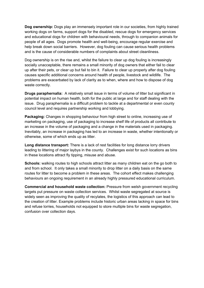**Dog ownership:** Dogs play an immensely important role in our societies, from highly trained working dogs on farms, support dogs for the disabled, rescue dogs for emergency services and educational dogs for children with behavioural needs, through to companion animals for people of all ages. Dogs promote health and well-being, encourage regular exercise and help break down social barriers. However, dog fouling can cause serious health problems and is the cause of considerable numbers of complaints about street cleanliness.

Dog ownership is on the rise and, whilst the failure to clear up dog fouling is increasingly socially unacceptable, there remains a small minority of dog owners that either fail to clear up after their pets, or clear up but fail to bin it. Failure to clear up properly after dog fouling causes specific additional concerns around health of people, livestock and wildlife. The problems are exacerbated by lack of clarity as to when, where and how to dispose of dog waste correctly.

**Drugs paraphernalia:** A relatively small issue in terms of volume of litter but significant in potential impact on human health, both for the public at large and for staff dealing with the issue. Drug paraphernalia is a difficult problem to tackle at a departmental or even county council level and requires partnership working and lobbying.

**Packaging:** Changes in shopping behaviour from high street to online, increasing use of marketing on packaging, use of packaging to increase shelf life of products all contribute to an increase in the volume of packaging and a change in the materials used in packaging. Inevitably, an increase in packaging has led to an increase in waste, whether intentionally or otherwise, some of which ends up as litter.

**Long distance transport:** There is a lack of rest facilities for long distance lorry drivers leading to littering of major laybys in the county. Challenges exist for such locations as bins in these locations attract fly tipping, misuse and abuse.

**Schools:** walking routes to high schools attract litter as many children eat on the go both to and from school. It only takes a small minority to drop litter on a daily basis on the same routes for litter to become a problem in these areas. The cohort effect makes challenging behaviours an ongoing requirement in an already highly pressured educational curriculum.

**Commercial and household waste collection:** Pressure from welsh government recycling targets put pressure on waste collection services. Whilst waste segregated at source is widely seen as improving the quality of recylates, the logistics of this approach can lead to the creation of litter. Example problems include historic urban areas lacking in space for bins and refuse lorries, households not equipped to store multiple bins for waste segregation, confusion over collection days.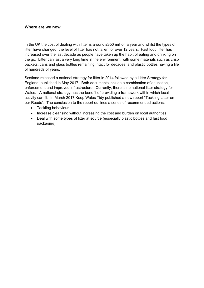#### **Where are we now**

In the UK the cost of dealing with litter is around £850 million a year and whilst the types of litter have changed, the level of litter has not fallen for over 12 years. Fast food litter has increased over the last decade as people have taken up the habit of eating and drinking on the go. Litter can last a very long time in the environment, with some materials such as crisp packets, cans and glass bottles remaining intact for decades, and plastic bottles having a life of hundreds of years.

Scotland released a national strategy for litter in 2014 followed by a Litter Strategy for England, published in May 2017. Both documents include a combination of education, enforcement and improved infrastructure. Currently, there is no national litter strategy for Wales. A national strategy has the benefit of providing a framework within which local activity can fit. In March 2017 Keep Wales Tidy published a new report "Tackling Litter on our Roads". The conclusion to the report outlines a series of recommended actions:

- Tackling behaviour
- Increase cleansing without increasing the cost and burden on local authorities
- Deal with some types of litter at source (especially plastic bottles and fast food packaging)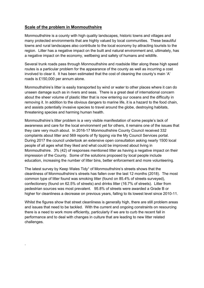### **Scale of the problem in Monmouthshire**

.

Monmouthshire is a county with high quality landscapes, historic towns and villages and many protected environments that are highly valued by local communities. These beautiful towns and rural landscapes also contribute to the local economy by attracting tourists to the region. Litter has a negative impact on the built and natural environment and, ultimately, has a negative impact on the economy, wellbeing and safety of humans and wildlife.

Several trunk roads pass through Monmouthshire and roadside litter along these high speed routes is a particular problem for the appearance of the county as well as incurring a cost involved to clear it. It has been estimated that the cost of cleaning the county's main 'A' roads is £150,000 per annum alone.

Monmouthshire's litter is easily transported by wind or water to other places where it can do unseen damage such as in rivers and seas. There is a great deal of international concern about the sheer volume of plastic litter that is now entering our oceans and the difficulty in removing it. In addition to the obvious dangers to marine life, it is a hazard to the food chain, and assists potentially invasive species to travel around the globe, destroying habitats, threatening species and harming human health.

Monmouthshire's litter problem is a very visible manifestation of some people's lack of awareness and care for the local environment yet for others, it remains one of the issues that they care very much about. In 2016-17 Monmouthshire County Council received 332 complaints about litter and 569 reports of fly tipping via the My Council Services portal. During 2017 the council undertook an extensive open consultation asking nearly 1500 local people of all ages what they liked and what could be improved about living in Monmouthshire. 3% (42) of responses mentioned litter as having a negative impact on their impression of the County. Some of the solutions proposed by local people include education, increasing the number of litter bins, better enforcement and more volunteering.

The latest survey by Keep Wales  $Ti\,dy<sup>1</sup>$  of Monmouthshire's streets shows that the cleanliness of Monmouthshire's streets has fallen over the last 12 months (2018). The most common type of litter found was smoking litter (found on 85.4% of streets surveyed), confectionery (found on 62.5% of streets) and drinks litter (16.7% of streets). Litter from pedestrian sources was most prevalent. 95.8% of streets were awarded a Grade B or higher for cleanliness a decrease on previous years, falling to its lowest level since 2010-11.

Whilst the figures show that street cleanliness is generally high, there are still problem areas and issues that need to be tackled. With the current and ongoing constraints on resourcing there is a need to work more efficiently, particularly if we are to curb the recent fall in performance and to deal with changes in culture that are leading to new litter related challenges.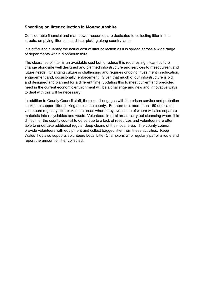### **Spending on litter collection in Monmouthshire**

Considerable financial and man power resources are dedicated to collecting litter in the streets, emptying litter bins and litter picking along country lanes.

It is difficult to quantify the actual cost of litter collection as it is spread across a wide range of departments within Monmouthshire.

The clearance of litter is an avoidable cost but to reduce this requires significant culture change alongside well designed and planned infrastructure and services to meet current and future needs. Changing culture is challenging and requires ongoing investment in education, engagement and, occasionally, enforcement. Given that much of our infrastructure is old and designed and planned for a different time, updating this to meet current and predicted need in the current economic environment will be a challenge and new and innovative ways to deal with this will be necessary

In addition to County Council staff, the council engages with the prison service and probation service to support litter picking across the county. Furthermore, more than 160 dedicated volunteers regularly litter pick in the areas where they live, some of whom will also separate materials into recyclables and waste. Volunteers in rural areas carry out cleansing where it is difficult for the county council to do so due to a lack of resources and volunteers are often able to undertake additional regular deep cleans of their local area. The county council provide volunteers with equipment and collect bagged litter from these activities. Keep Wales Tidy also supports volunteers Local Litter Champions who regularly patrol a route and report the amount of litter collected.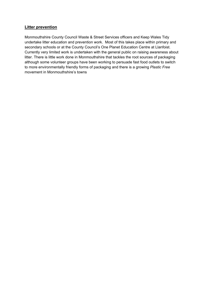### **Litter prevention**

Monmouthshire County Council Waste & Street Services officers and Keep Wales Tidy undertake litter education and prevention work. Most of this takes place within primary and secondary schools or at the County Council's One Planet Education Centre at Llanfoist. Currently very limited work is undertaken with the general public on raising awareness about litter. There is little work done in Monmouthshire that tackles the root sources of packaging although some volunteer groups have been working to persuade fast food outlets to switch to more environmentally friendly forms of packaging and there is a growing *Plastic Free* movement in Monmouthshire's towns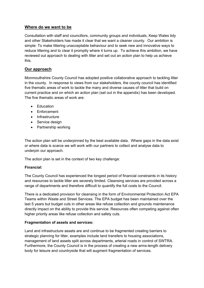#### **Where do we want to be**

Consultation with staff and councillors, community groups and individuals, Keep Wales tidy and other Stakeholders has made it clear that we want a cleaner county. Our ambition is simple: To make littering unacceptable behaviour and to seek new and innovative ways to reduce littering and to clear it promptly where it turns up. To achieve this ambition, we have reviewed out approach to dealing with litter and set out an action plan to help us achieve this.

### **Our approach**

Monmouthshire County Council has adopted positive collaborative approach to tackling litter in the county. In response to views from our stakeholders, the county council has identified five thematic areas of work to tackle the many and diverse causes of litter that build on current practice and on which an action plan (set out in the appendix) has been developed. The five thematic areas of work are:

- **Education**
- Enforcement
- Infrastructure
- Service design
- Partnership working

The action plan will be underpinned by the best available data. Where gaps in the data exist or where data is scarce we will work with our partners to collect and analyse data to underpin our approach.

The action plan is set in the context of two key challenge:

#### **Financial:**

The County Council has experienced the longest period of financial constraints in its history and resources to tackle litter are severely limited. Cleansing services are provided across a range of departments and therefore difficult to quantify the full costs to the Council.

There is a dedicated provision for cleansing in the form of Environmental Protection Act EPA Teams within Waste and Street Services. The EPA budget has been maintained over the last 5 years but budget cuts in other areas like refuse collection and grounds maintenance directly impact on the ability to provide this service. Resources often competing against often higher priority areas like refuse collection and safety cuts.

#### **Fragmentation of assets and services:**

Land and infrastructure assets are and continue to be fragmented creating barriers to strategic planning for litter, examples include land transfers to housing associations, management of land assets split across departments, arterial roads in control of SWTRA. Furthermore, the County Council is in the process of creating a new arms-length delivery body for leisure and countryside that will augment fragmentation of services.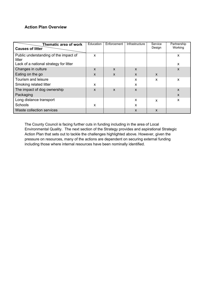## **Action Plan Overview**

| Thematic area of work<br><b>Causes of litter</b> | Education | Enforcement               | <b>Infrastructure</b> | Service<br>Design         | Partnership<br>Working |
|--------------------------------------------------|-----------|---------------------------|-----------------------|---------------------------|------------------------|
| Public understanding of the impact of<br>litter  | X         |                           |                       |                           | X                      |
| Lack of a national strategy for litter           |           |                           |                       |                           | X                      |
| Changes in culture                               | X         | $\boldsymbol{\mathsf{x}}$ | X                     |                           | X                      |
| Eating on the go                                 | X         | X                         | X                     | $\mathsf{x}$              |                        |
| Tourism and leisure                              |           |                           | x                     | X                         | X                      |
| Smoking related litter                           | x         |                           | X                     |                           |                        |
| The impact of dog ownership                      | X         | $\boldsymbol{\mathsf{x}}$ | X                     |                           | $\mathsf{x}$           |
| Packaging                                        |           |                           |                       |                           | $\mathsf{x}$           |
| Long distance transport                          |           |                           | X                     | X                         | X                      |
| Schools                                          | X         |                           | X                     |                           |                        |
| <b>Waste collection services</b>                 |           |                           | X                     | $\boldsymbol{\mathsf{x}}$ |                        |

The County Council is facing further cuts in funding including in the area of Local Environmental Quality. The next section of the Strategy provides and aspirational Strategic Action Plan that sets out to tackle the challenges highlighted above. However, given the pressure on resources, many of the actions are dependent on securing external funding including those where internal resources have been nominally identified.